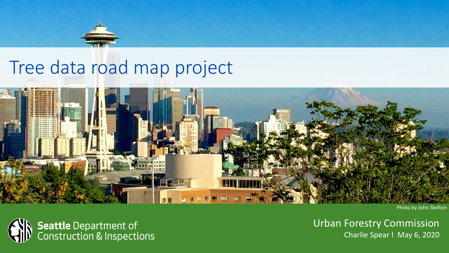## Tree data road map project



Photo by John Skelton



Urban Forestry Commission Charlie Spear I May 6, 2020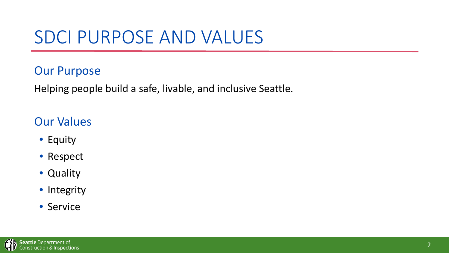# SDCI PURPOSE AND VALUES

#### Our Purpose

Helping people build a safe, livable, and inclusive Seattle.

### Our Values

- Equity
- Respect
- Quality
- Integrity
- Service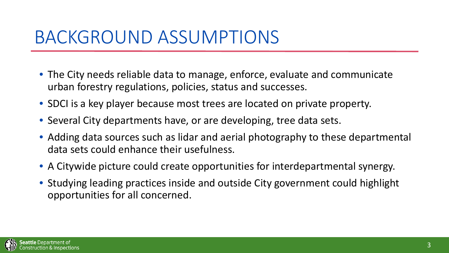### BACKGROUND ASSUMPTIONS

- The City needs reliable data to manage, enforce, evaluate and communicate urban forestry regulations, policies, status and successes.
- SDCI is a key player because most trees are located on private property.
- Several City departments have, or are developing, tree data sets.
- Adding data sources such as lidar and aerial photography to these departmental data sets could enhance their usefulness.
- A Citywide picture could create opportunities for interdepartmental synergy.
- Studying leading practices inside and outside City government could highlight opportunities for all concerned.

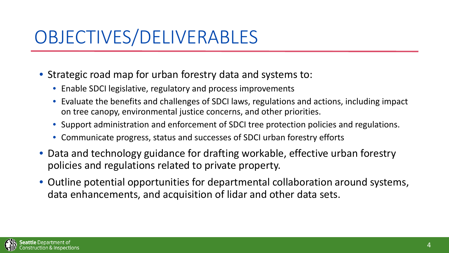# OBJECTIVES/DELIVERABLES

- Strategic road map for urban forestry data and systems to:
	- Enable SDCI legislative, regulatory and process improvements
	- Evaluate the benefits and challenges of SDCI laws, regulations and actions, including impact on tree canopy, environmental justice concerns, and other priorities.
	- Support administration and enforcement of SDCI tree protection policies and regulations.
	- Communicate progress, status and successes of SDCI urban forestry efforts
- Data and technology guidance for drafting workable, effective urban forestry policies and regulations related to private property.
- Outline potential opportunities for departmental collaboration around systems, data enhancements, and acquisition of lidar and other data sets.

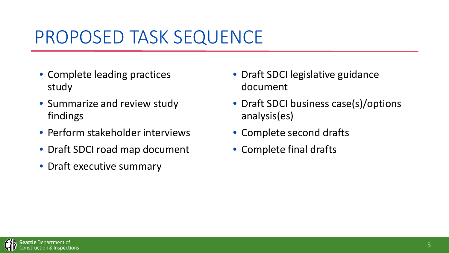## PROPOSED TASK SEQUENCE

- Complete leading practices study
- Summarize and review study findings
- Perform stakeholder interviews
- Draft SDCI road map document
- Draft executive summary
- Draft SDCI legislative guidance document
- Draft SDCI business case(s)/options analysis(es)
- Complete second drafts
- Complete final drafts

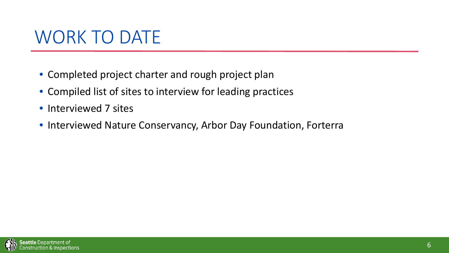## WORK TO DATE

- Completed project charter and rough project plan
- Compiled list of sites to interview for leading practices
- Interviewed 7 sites
- Interviewed Nature Conservancy, Arbor Day Foundation, Forterra